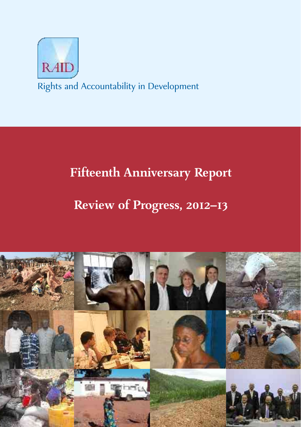

Rights and Accountability in Development

# **Fifteenth Anniversary Report**

# Review of Progress, 2012-13

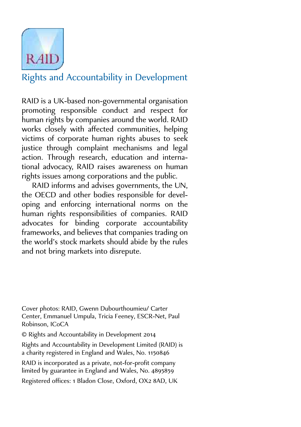

# Rights and Accountability in Development

RAID is a UK-based non-governmental organisation promoting responsible conduct and respect for human rights by companies around the world. RAID works closely with affected communities, helping victims of corporate human rights abuses to seek justice through complaint mechanisms and legal action. Through research, education and international advocacy, RAID raises awareness on human rights issues among corporations and the public.

RAID informs and advises governments, the UN, the OECD and other bodies responsible for developing and enforcing international norms on the human rights responsibilities of companies. RAID advocates for binding corporate accountability frameworks, and believes that companies trading on the world's stock markets should abide by the rules and not bring markets into disrepute.

Cover photos: RAID, Gwenn Dubourthoumieu/ Carter Center, Emmanuel Umpula, Tricia Feeney, ESCR-Net, Paul Robinson, ICoCA

© Rights and Accountability in Development

Rights and Accountability in Development Limited (RAID) is a charity registered in England and Wales, No.

RAID is incorporated as a private, not-for-profit company limited by guarantee in England and Wales, No.

Registered offices: 1 Bladon Close, Oxford, OX2 8AD, UK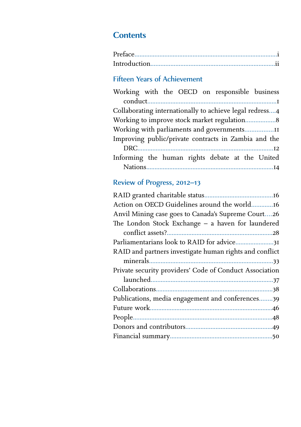# **Contents**

# Fifteen Years of Achievement

| Working with the OECD on responsible business           |  |  |  |                                                          |
|---------------------------------------------------------|--|--|--|----------------------------------------------------------|
|                                                         |  |  |  | $\begin{minipage}{.4\linewidth} conduct. \end{minipage}$ |
| Collaborating internationally to achieve legal redress4 |  |  |  |                                                          |
| Working to improve stock market regulation 8            |  |  |  |                                                          |
| Working with parliaments and governments11              |  |  |  |                                                          |
| Improving public/private contracts in Zambia and the    |  |  |  |                                                          |
|                                                         |  |  |  |                                                          |
| Informing the human rights debate at the United         |  |  |  |                                                          |
|                                                         |  |  |  |                                                          |

# Review of Progress, 2012-13

| Action on OECD Guidelines around the world16            |
|---------------------------------------------------------|
| Anvil Mining case goes to Canada's Supreme Court26      |
| The London Stock Exchange - a haven for laundered       |
|                                                         |
| Parliamentarians look to RAID for advice31              |
| RAID and partners investigate human rights and conflict |
|                                                         |
| Private security providers' Code of Conduct Association |
|                                                         |
|                                                         |
| Publications, media engagement and conferences39        |
|                                                         |
|                                                         |
|                                                         |
|                                                         |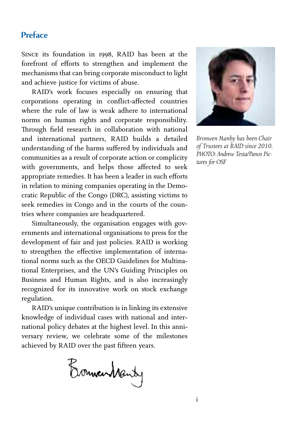# **Preface**

SINCE its foundation in 1998. RAID has been at the forefront of efforts to strengthen and implement the mechanisms that can bring corporate misconduct to light and achieve justice for victims of abuse.

RAID's work focuses especially on ensuring that corporations operating in conflict-affected countries where the rule of law is weak adhere to international norms on human rights and corporate responsibility. Through field research in collaboration with national and international partners, RAID builds a detailed understanding of the harms suffered by individuals and communities as a result of corporate action or complicity with governments, and helps those affected to seek appropriate remedies. It has been a leader in such efforts in relation to mining companies operating in the Democratic Republic of the Congo (DRC), assisting victims to seek remedies in Congo and in the courts of the countries where companies are headquartered.

Simultaneously, the organisation engages with governments and international organisations to press for the development of fair and just policies. RAID is working to strengthen the effective implementation of international norms such as the OECD Guidelines for Multinational Enterprises, and the UN's Guiding Principles on Business and Human Rights, and is also increasingly recognized for its innovative work on stock exchange regulation.

RAID's unique contribution is in linking its extensive knowledge of individual cases with national and international policy debates at the highest level. In this anniversary review, we celebrate some of the milestones achieved by RAID over the past fifteen years.

Bonnewmanty



*Bronwen Manby has been Chair of Trustees at RAID since 2010. PHOTO: Andrew Testa/Panos Pictures for OSF*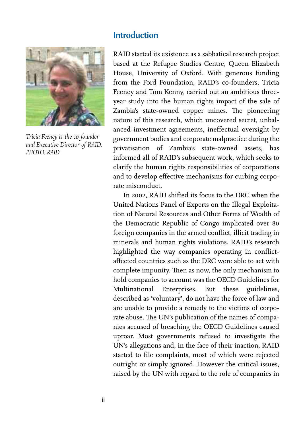#### **Introduction**



*Tricia Feeney is the co-founder and Executive Director of RAID. PHOTO: RAID*

RAID started its existence as a sabbatical research project based at the Refugee Studies Centre, Queen Elizabeth House, University of Oxford. With generous funding from the Ford Foundation, RAID's co-founders, Tricia Feeney and Tom Kenny, carried out an ambitious threeyear study into the human rights impact of the sale of Zambia's state-owned copper mines. The pioneering nature of this research, which uncovered secret, unbalanced investment agreements, ineffectual oversight by government bodies and corporate malpractice during the privatisation of Zambia's state-owned assets, has informed all of RAID's subsequent work, which seeks to clarify the human rights responsibilities of corporations and to develop effective mechanisms for curbing corporate misconduct.

In 2002, RAID shifted its focus to the DRC when the United Nations Panel of Experts on the Illegal Exploitation of Natural Resources and Other Forms of Wealth of the Democratic Republic of Congo implicated over foreign companies in the armed conflict, illicit trading in minerals and human rights violations. RAID's research highlighted the way companies operating in conflictaffected countries such as the DRC were able to act with complete impunity. Then as now, the only mechanism to hold companies to account was the OECD Guidelines for Multinational Enterprises. But these guidelines, described as 'voluntary', do not have the force of law and are unable to provide a remedy to the victims of corporate abuse. The UN's publication of the names of companies accused of breaching the OECD Guidelines caused uproar. Most governments refused to investigate the UN's allegations and, in the face of their inaction, RAID started to file complaints, most of which were rejected outright or simply ignored. However the critical issues, raised by the UN with regard to the role of companies in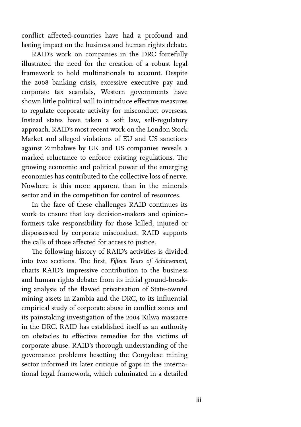conflict affected-countries have had a profound and lasting impact on the business and human rights debate.

RAID's work on companies in the DRC forcefully illustrated the need for the creation of a robust legal framework to hold multinationals to account. Despite the 2008 banking crisis, excessive executive pay and corporate tax scandals, Western governments have shown little political will to introduce effective measures to regulate corporate activity for misconduct overseas. Instead states have taken a soft law, self-regulatory approach. RAID's most recent work on the London Stock Market and alleged violations of EU and US sanctions against Zimbabwe by UK and US companies reveals a marked reluctance to enforce existing regulations. The growing economic and political power of the emerging economies has contributed to the collective loss of nerve. Nowhere is this more apparent than in the minerals sector and in the competition for control of resources.

In the face of these challenges RAID continues its work to ensure that key decision-makers and opinionformers take responsibility for those killed, injured or dispossessed by corporate misconduct. RAID supports the calls of those affected for access to justice.

The following history of RAID's activities is divided into two sections. The first, *Fifteen Years of Achievement*, charts RAID's impressive contribution to the business and human rights debate: from its initial ground-breaking analysis of the flawed privatisation of State-owned mining assets in Zambia and the DRC, to its influential empirical study of corporate abuse in conflict zones and its painstaking investigation of the 2004 Kilwa massacre in the DRC. RAID has established itself as an authority on obstacles to effective remedies for the victims of corporate abuse. RAID's thorough understanding of the governance problems besetting the Congolese mining sector informed its later critique of gaps in the international legal framework, which culminated in a detailed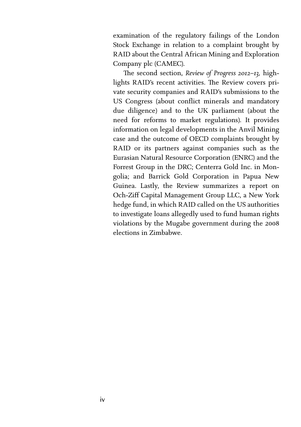examination of the regulatory failings of the London Stock Exchange in relation to a complaint brought by RAID about the Central African Mining and Exploration Company plc (CAMEC).

The second section, *Review of Progress 2012-13*, highlights RAID's recent activities. The Review covers private security companies and RAID's submissions to the US Congress (about conflict minerals and mandatory due diligence) and to the UK parliament (about the need for reforms to market regulations). It provides information on legal developments in the Anvil Mining case and the outcome of OECD complaints brought by RAID or its partners against companies such as the Eurasian Natural Resource Corporation (ENRC) and the Forrest Group in the DRC; Centerra Gold Inc. in Mongolia; and Barrick Gold Corporation in Papua New Guinea. Lastly, the Review summarizes a report on Och-Ziff Capital Management Group LLC, a New York hedge fund, in which RAID called on the US authorities to investigate loans allegedly used to fund human rights violations by the Mugabe government during the elections in Zimbabwe.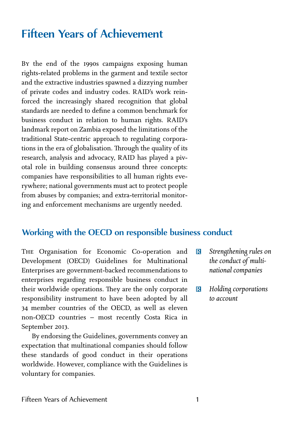# **Fifteen Years of Achievement**

By the end of the 1990s campaigns exposing human rights-related problems in the garment and textile sector and the extractive industries spawned a dizzying number of private codes and industry codes. RAID's work reinforced the increasingly shared recognition that global standards are needed to define a common benchmark for business conduct in relation to human rights. RAID's landmark report on Zambia exposed the limitations of the traditional State-centric approach to regulating corporations in the era of globalisation. Through the quality of its research, analysis and advocacy, RAID has played a pivotal role in building consensus around three concepts: companies have responsibilities to all human rights everywhere; national governments must act to protect people from abuses by companies; and extra-territorial monitoring and enforcement mechanisms are urgently needed.

# **Working with the OECD on responsible business conduct**

THE Organisation for Economic Co-operation and Development (OECD) Guidelines for Multinational Enterprises are government-backed recommendations to enterprises regarding responsible business conduct in their worldwide operations. They are the only corporate responsibility instrument to have been adopted by all member countries of the OECD, as well as eleven non-OECD countries – most recently Costa Rica in September 2013.

By endorsing the Guidelines, governments convey an expectation that multinational companies should follow these standards of good conduct in their operations worldwide. However, compliance with the Guidelines is voluntary for companies.

- R *Strengthening rules on the conduct of multinational companies*
- R *Holding corporations to account*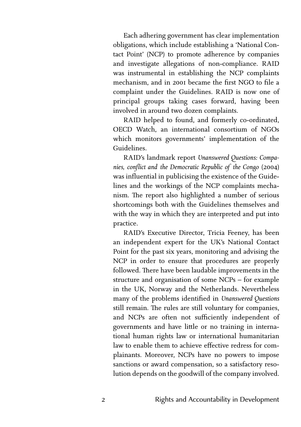Each adhering government has clear implementation obligations, which include establishing a 'National Contact Point' (NCP) to promote adherence by companies and investigate allegations of non-compliance. RAID was instrumental in establishing the NCP complaints mechanism, and in 2001 became the first NGO to file a complaint under the Guidelines. RAID is now one of principal groups taking cases forward, having been involved in around two dozen complaints.

RAID helped to found, and formerly co-ordinated, OECD Watch, an international consortium of NGOs which monitors governments' implementation of the Guidelines.

RAID's landmark report *Unanswered Questions: Companies, conflict and the Democratic Republic of the Congo* (2004) was influential in publicising the existence of the Guidelines and the workings of the NCP complaints mechanism. The report also highlighted a number of serious shortcomings both with the Guidelines themselves and with the way in which they are interpreted and put into practice.

RAID's Executive Director, Tricia Feeney, has been an independent expert for the UK's National Contact Point for the past six years, monitoring and advising the NCP in order to ensure that procedures are properly followed. There have been laudable improvements in the structure and organisation of some NCPs – for example in the UK, Norway and the Netherlands. Nevertheless many of the problems identified in *Unanswered Questions* still remain. The rules are still voluntary for companies, and NCPs are often not sufficiently independent of governments and have little or no training in international human rights law or international humanitarian law to enable them to achieve effective redress for complainants. Moreover, NCPs have no powers to impose sanctions or award compensation, so a satisfactory resolution depends on the goodwill of the company involved.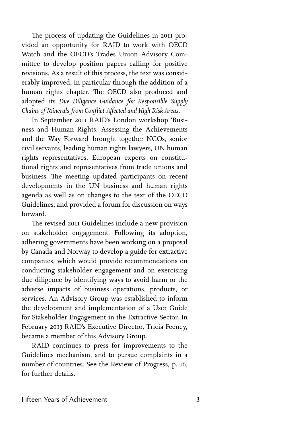The process of updating the Guidelines in 2011 provided an opportunity for RAID to work with OECD Watch and the OECD's Trades Union Advisory Committee to develop position papers calling for positive revisions. As a result of this process, the text was considerably improved, in particular through the addition of a human rights chapter. The OECD also produced and adopted its *Due Diligence Guidance for Responsible Supply Chains of Minerals from Conflict-Affected and High Risk Areas*.

In September RAID's London workshop 'Business and Human Rights: Assessing the Achievements and the Way Forward' brought together NGOs, senior civil servants, leading human rights lawyers, UN human rights representatives, European experts on constitutional rights and representatives from trade unions and business. The meeting updated participants on recent developments in the UN business and human rights agenda as well as on changes to the text of the OECD Guidelines, and provided a forum for discussion on ways forward.

The revised 2011 Guidelines include a new provision on stakeholder engagement. Following its adoption, adhering governments have been working on a proposal by Canada and Norway to develop a guide for extractive companies, which would provide recommendations on conducting stakeholder engagement and on exercising due diligence by identifying ways to avoid harm or the adverse impacts of business operations, products, or services. An Advisory Group was established to inform the development and implementation of a User Guide for Stakeholder Engagement in the Extractive Sector. In February RAID's Executive Director, Tricia Feeney, became a member of this Advisory Group.

RAID continues to press for improvements to the Guidelines mechanism, and to pursue complaints in a number of countries. See the Review of Progress, p. 16, for further details.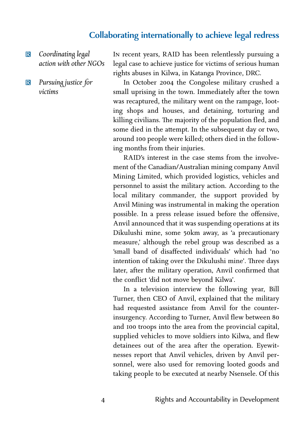#### **Collaborating internationally to achieve legal redress**

- R *Coordinating legal action with other NGOs*
- R *Pursuing justice for victims*

IN recent years, RAID has been relentlessly pursuing a legal case to achieve justice for victims of serious human rights abuses in Kilwa, in Katanga Province, DRC.

In October 2004 the Congolese military crushed a small uprising in the town. Immediately after the town was recaptured, the military went on the rampage, looting shops and houses, and detaining, torturing and killing civilians. The majority of the population fled, and some died in the attempt. In the subsequent day or two, around 100 people were killed; others died in the following months from their injuries.

RAID's interest in the case stems from the involvement of the Canadian/Australian mining company Anvil Mining Limited, which provided logistics, vehicles and personnel to assist the military action. According to the local military commander, the support provided by Anvil Mining was instrumental in making the operation possible. In a press release issued before the offensive, Anvil announced that it was suspending operations at its Dikulushi mine, some 50km away, as 'a precautionary measure,' although the rebel group was described as a 'small band of disaffected individuals' which had 'no intention of taking over the Dikulushi mine'. Three days later, after the military operation, Anvil confirmed that the conflict 'did not move beyond Kilwa'.

In a television interview the following year, Bill Turner, then CEO of Anvil, explained that the military had requested assistance from Anvil for the counterinsurgency. According to Turner, Anvil flew between and 100 troops into the area from the provincial capital, supplied vehicles to move soldiers into Kilwa, and flew detainees out of the area after the operation. Eyewitnesses report that Anvil vehicles, driven by Anvil personnel, were also used for removing looted goods and taking people to be executed at nearby Nsensele. Of this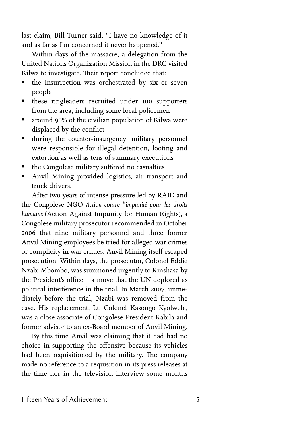last claim, Bill Turner said, "I have no knowledge of it and as far as I'm concerned it never happened."

Within days of the massacre, a delegation from the United Nations Organization Mission in the DRC visited Kilwa to investigate. Their report concluded that:

- $\blacksquare$  the insurrection was orchestrated by six or seven people
- $\blacksquare$  these ringleaders recruited under 100 supporters from the area, including some local policemen
- around 90% of the civilian population of Kilwa were displaced by the conflict
- $\blacksquare$  during the counter-insurgency, military personnel were responsible for illegal detention, looting and extortion as well as tens of summary executions
- the Congolese military suffered no casualties
- ß Anvil Mining provided logistics, air transport and truck drivers.

After two years of intense pressure led by RAID and the Congolese NGO *Action contre l'impunité pour les droits humains* (Action Against Impunity for Human Rights), a Congolese military prosecutor recommended in October 2006 that nine military personnel and three former Anvil Mining employees be tried for alleged war crimes or complicity in war crimes. Anvil Mining itself escaped prosecution. Within days, the prosecutor, Colonel Eddie Nzabi Mbombo, was summoned urgently to Kinshasa by the President's office – a move that the UN deplored as political interference in the trial. In March 2007, immediately before the trial, Nzabi was removed from the case. His replacement, Lt. Colonel Kasongo Kyolwele, was a close associate of Congolese President Kabila and former advisor to an ex-Board member of Anvil Mining.

By this time Anvil was claiming that it had had no choice in supporting the offensive because its vehicles had been requisitioned by the military. The company made no reference to a requisition in its press releases at the time nor in the television interview some months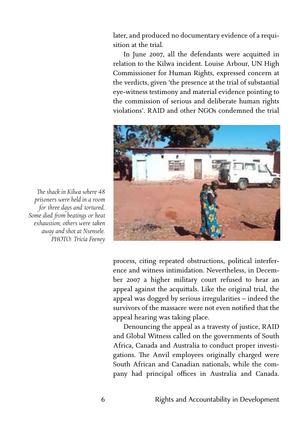later, and produced no documentary evidence of a requisition at the trial.

In June 2007, all the defendants were acquitted in relation to the Kilwa incident. Louise Arbour, UN High Commissioner for Human Rights, expressed concern at the verdicts, given 'the presence at the trial of substantial eye-witness testimony and material evidence pointing to the commission of serious and deliberate human rights violations'. RAID and other NGOs condemned the trial



*prisoners were held in a room for three days and tortured. Some died from beatings or heat exhaustion; others were taken away and shot at Nsensele. PHOTO: Tricia Feeney*

*e shack in Kilwa where 48*

process, citing repeated obstructions, political interference and witness intimidation. Nevertheless, in December 2007 a higher military court refused to hear an appeal against the acquittals. Like the original trial, the appeal was dogged by serious irregularities – indeed the survivors of the massacre were not even notified that the appeal hearing was taking place.

Denouncing the appeal as a travesty of justice, RAID and Global Witness called on the governments of South Africa, Canada and Australia to conduct proper investigations. The Anvil employees originally charged were South African and Canadian nationals, while the company had principal offices in Australia and Canada.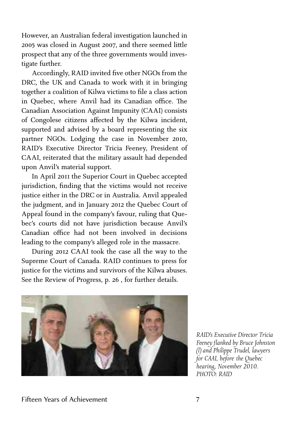However, an Australian federal investigation launched in 2005 was closed in August 2007, and there seemed little prospect that any of the three governments would investigate further.

Accordingly, RAID invited five other NGOs from the DRC, the UK and Canada to work with it in bringing together a coalition of Kilwa victims to file a class action in Quebec, where Anvil had its Canadian office. The Canadian Association Against Impunity (CAAI) consists of Congolese citizens affected by the Kilwa incident, supported and advised by a board representing the six partner NGOs. Lodging the case in November 2010, RAID's Executive Director Tricia Feeney, President of CAAI, reiterated that the military assault had depended upon Anvil's material support.

In April 2011 the Superior Court in Quebec accepted jurisdiction, finding that the victims would not receive justice either in the DRC or in Australia. Anvil appealed the judgment, and in January 2012 the Quebec Court of Appeal found in the company's favour, ruling that Quebec's courts did not have jurisdiction because Anvil's Canadian office had not been involved in decisions leading to the company's alleged role in the massacre.

During 2012 CAAI took the case all the way to the Supreme Court of Canada. RAID continues to press for justice for the victims and survivors of the Kilwa abuses. See the Review of Progress, p. 26, for further details.



*RAID's Executive Director Tricia Feeney flanked by Bruce Johnston (l) and Philippe Trudel, lawyers for CAAI, before the Quebec hearing, November 2010. PHOTO: RAID*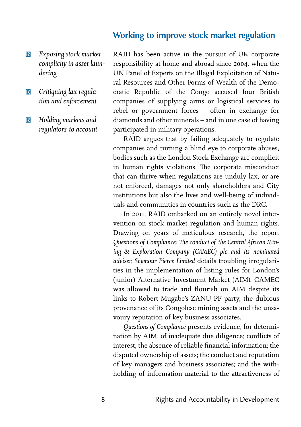#### **Working to improve stock market regulation**

- R *Exposing stock market complicity in asset laundering*
- R *Critiquing lax regulation and enforcement*
- R *Holding markets and regulators to account*

RAID has been active in the pursuit of UK corporate responsibility at home and abroad since 2004, when the UN Panel of Experts on the Illegal Exploitation of Natural Resources and Other Forms of Wealth of the Democratic Republic of the Congo accused four British companies of supplying arms or logistical services to rebel or government forces – often in exchange for diamonds and other minerals – and in one case of having participated in military operations.

RAID argues that by failing adequately to regulate companies and turning a blind eye to corporate abuses, bodies such as the London Stock Exchange are complicit in human rights violations. The corporate misconduct that can thrive when regulations are unduly lax, or are not enforced, damages not only shareholders and City institutions but also the lives and well-being of individuals and communities in countries such as the DRC.

In 2011, RAID embarked on an entirely novel intervention on stock market regulation and human rights. Drawing on years of meticulous research, the report Questions of Compliance: The conduct of the Central African Min*ing & Exploration Company (CAMEC) plc and its nominated adviser, Seymour Pierce Limited* details troubling irregularities in the implementation of listing rules for London's (junior) Alternative Investment Market (AIM). CAMEC was allowed to trade and flourish on AIM despite its links to Robert Mugabe's ZANU PF party, the dubious provenance of its Congolese mining assets and the unsavoury reputation of key business associates.

*Questions of Compliance* presents evidence, for determination by AIM, of inadequate due diligence; conflicts of interest; the absence of reliable financial information; the disputed ownership of assets; the conduct and reputation of key managers and business associates; and the withholding of information material to the attractiveness of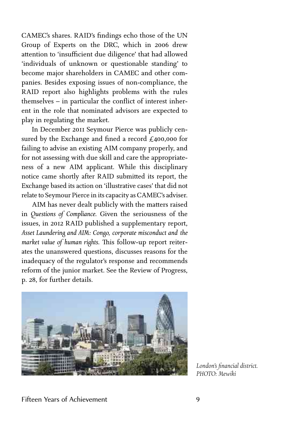CAMEC's shares. RAID's findings echo those of the UN Group of Experts on the DRC, which in 2006 drew attention to 'insufficient due diligence' that had allowed 'individuals of unknown or questionable standing' to become major shareholders in CAMEC and other companies. Besides exposing issues of non-compliance, the RAID report also highlights problems with the rules themselves – in particular the conflict of interest inherent in the role that nominated advisors are expected to play in regulating the market.

In December 2011 Seymour Pierce was publicly censured by the Exchange and fined a record  $\text{\pounds}_{4}$ 00,000 for failing to advise an existing AIM company properly, and for not assessing with due skill and care the appropriateness of a new AIM applicant. While this disciplinary notice came shortly after RAID submitted its report, the Exchange based its action on 'illustrative cases' that did not relate to Seymour Pierce in its capacity as CAMEC's adviser.

AIM has never dealt publicly with the matters raised in *Questions of Compliance.* Given the seriousness of the issues, in 2012 RAID published a supplementary report, *Asset Laundering and AIM: Congo, corporate misconduct and the* market value of human rights. This follow-up report reiterates the unanswered questions, discusses reasons for the inadequacy of the regulator's response and recommends reform of the junior market. See the Review of Progress, p. 28, for further details.



*London's financial district. PHOTO: Mewiki*

#### Fifteen Years of Achievement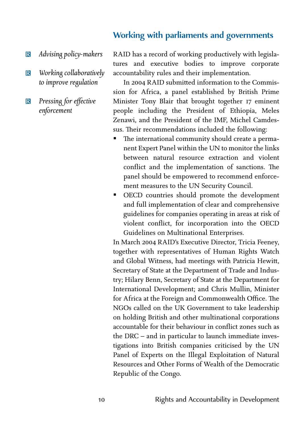# **Working with parliaments and governments**

- R *Advising policy-makers*
- **R** *Working collaboratively to improve regulation*
- R *Pressing for effective enforcement*

RAID has a record of working productively with legislatures and executive bodies to improve corporate accountability rules and their implementation.

In 2004 RAID submitted information to the Commission for Africa, a panel established by British Prime Minister Tony Blair that brought together 17 eminent people including the President of Ethiopia, Meles Zenawi, and the President of the IMF, Michel Camdessus. Their recommendations included the following:

- The international community should create a permanent Expert Panel within the UN to monitor the links between natural resource extraction and violent conflict and the implementation of sanctions. The panel should be empowered to recommend enforcement measures to the UN Security Council.
- **•** OECD countries should promote the development and full implementation of clear and comprehensive guidelines for companies operating in areas at risk of violent conflict, for incorporation into the OECD Guidelines on Multinational Enterprises.

In March 2004 RAID's Executive Director, Tricia Feeney, together with representatives of Human Rights Watch and Global Witness, had meetings with Patricia Hewitt, Secretary of State at the Department of Trade and Industry; Hilary Benn, Secretary of State at the Department for International Development; and Chris Mullin, Minister for Africa at the Foreign and Commonwealth Office. The NGOs called on the UK Government to take leadership on holding British and other multinational corporations accountable for their behaviour in conflict zones such as the DRC – and in particular to launch immediate investigations into British companies criticised by the UN Panel of Experts on the Illegal Exploitation of Natural Resources and Other Forms of Wealth of the Democratic Republic of the Congo.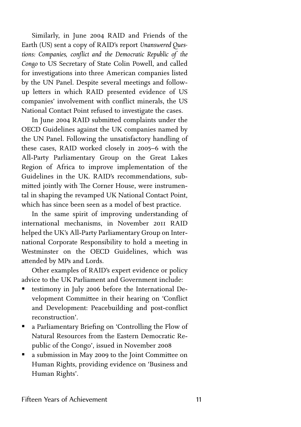Similarly, in June 2004 RAID and Friends of the Earth (US) sent a copy of RAID's report *Unanswered Questions: Companies, conflict and the Democratic Republic of the Congo* to US Secretary of State Colin Powell, and called for investigations into three American companies listed by the UN Panel. Despite several meetings and followup letters in which RAID presented evidence of US companies' involvement with conflict minerals, the US National Contact Point refused to investigate the cases.

In June 2004 RAID submitted complaints under the OECD Guidelines against the UK companies named by the UN Panel. Following the unsatisfactory handling of these cases, RAID worked closely in 2005-6 with the All-Party Parliamentary Group on the Great Lakes Region of Africa to improve implementation of the Guidelines in the UK. RAID's recommendations, submitted jointly with The Corner House, were instrumental in shaping the revamped UK National Contact Point, which has since been seen as a model of best practice.

In the same spirit of improving understanding of international mechanisms, in November 2011 RAID helped the UK's All-Party Parliamentary Group on International Corporate Responsibility to hold a meeting in Westminster on the OECD Guidelines, which was attended by MPs and Lords.

Other examples of RAID's expert evidence or policy advice to the UK Parliament and Government include:

- testimony in July 2006 before the International Development Committee in their hearing on 'Conflict and Development: Peacebuilding and post-conflict reconstruction'.
- **a** Parliamentary Briefing on 'Controlling the Flow of Natural Resources from the Eastern Democratic Republic of the Congo', issued in November
- a submission in May 2009 to the Joint Committee on Human Rights, providing evidence on 'Business and Human Rights'.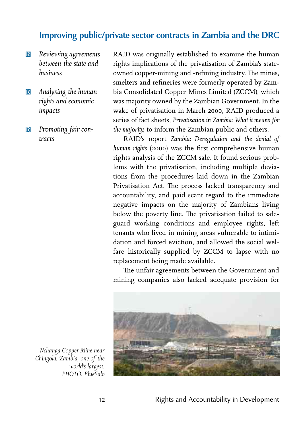# **Improving public/private sector contracts in Zambia and the DRC**

- R *Reviewing agreements between the state and business*
- R *Analysing the human rights and economic impacts*
- R *Promoting fair contracts*

RAID was originally established to examine the human rights implications of the privatisation of Zambia's stateowned copper-mining and -refining industry. The mines, smelters and refineries were formerly operated by Zambia Consolidated Copper Mines Limited (ZCCM), which was majority owned by the Zambian Government. In the wake of privatisation in March 2000, RAID produced a series of fact sheets, *Privatisation in Zambia: What it means for the majority,* to inform the Zambian public and others.

RAID's report *Zambia: Deregulation and the denial of human rights* (2000) was the first comprehensive human rights analysis of the ZCCM sale. It found serious problems with the privatisation, including multiple deviations from the procedures laid down in the Zambian Privatisation Act. The process lacked transparency and accountability, and paid scant regard to the immediate negative impacts on the majority of Zambians living below the poverty line. The privatisation failed to safeguard working conditions and employee rights, left tenants who lived in mining areas vulnerable to intimidation and forced eviction, and allowed the social welfare historically supplied by ZCCM to lapse with no replacement being made available.

The unfair agreements between the Government and mining companies also lacked adequate provision for



*Nchanga Copper Mine near Chingola, Zambia, one of the world's largest. PHOTO: BlueSalo*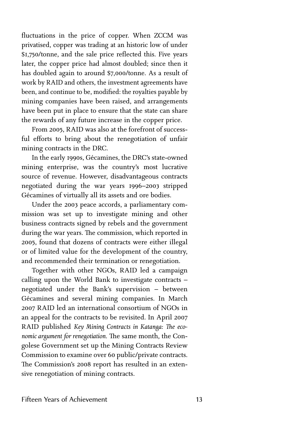fluctuations in the price of copper. When ZCCM was privatised, copper was trading at an historic low of under \$1,750/tonne, and the sale price reflected this. Five years later, the copper price had almost doubled; since then it has doubled again to around \$7,000/tonne. As a result of work by RAID and others, the investment agreements have been, and continue to be, modified: the royalties payable by mining companies have been raised, and arrangements have been put in place to ensure that the state can share the rewards of any future increase in the copper price.

From 2005, RAID was also at the forefront of successful efforts to bring about the renegotiation of unfair mining contracts in the DRC.

In the early 1990s, Gécamines, the DRC's state-owned mining enterprise, was the country's most lucrative source of revenue. However, disadvantageous contracts negotiated during the war years 1996-2003 stripped Gécamines of virtually all its assets and ore bodies.

Under the 2003 peace accords, a parliamentary commission was set up to investigate mining and other business contracts signed by rebels and the government during the war years. The commission, which reported in , found that dozens of contracts were either illegal or of limited value for the development of the country, and recommended their termination or renegotiation.

Together with other NGOs, RAID led a campaign calling upon the World Bank to investigate contracts – negotiated under the Bank's supervision – between Gécamines and several mining companies. In March RAID led an international consortium of NGOs in an appeal for the contracts to be revisited. In April RAID published *Key Mining Contracts in Katanga: The economic argument for renegotiation.* The same month, the Congolese Government set up the Mining Contracts Review Commission to examine over 60 public/private contracts. The Commission's 2008 report has resulted in an extensive renegotiation of mining contracts.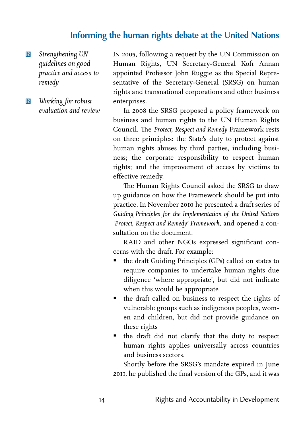# **Informing the human rights debate at the United Nations**

- R *Strengthening UN guidelines on good practice and access to remedy*
- R *Working for robust evaluation and review*

In 2005, following a request by the UN Commission on Human Rights, UN Secretary-General Kofi Annan appointed Professor John Ruggie as the Special Representative of the Secretary-General (SRSG) on human rights and transnational corporations and other business enterprises.

In 2008 the SRSG proposed a policy framework on business and human rights to the UN Human Rights Council. The Protect, Respect and Remedy Framework rests on three principles: the State's duty to protect against human rights abuses by third parties, including business; the corporate responsibility to respect human rights; and the improvement of access by victims to effective remedy.

The Human Rights Council asked the SRSG to draw up guidance on how the Framework should be put into practice. In November 2010 he presented a draft series of *Guiding Principles for the Implementation of the United Nations 'Protect, Respect and Remedy' Framework,* and opened a consultation on the document.

RAID and other NGOs expressed significant concerns with the draft. For example:

- ß the draft Guiding Principles (GPs) called on states to require companies to undertake human rights due diligence 'where appropriate', but did not indicate when this would be appropriate
- the draft called on business to respect the rights of vulnerable groups such as indigenous peoples, women and children, but did not provide guidance on these rights
- the draft did not clarify that the duty to respect human rights applies universally across countries and business sectors.

Shortly before the SRSG's mandate expired in June 2011, he published the final version of the GPs, and it was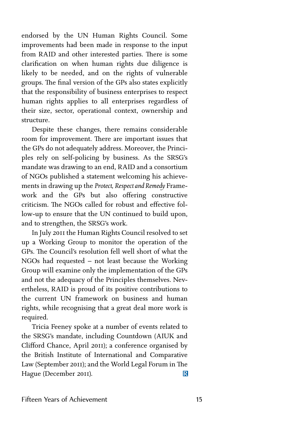endorsed by the UN Human Rights Council. Some improvements had been made in response to the input from RAID and other interested parties. There is some clarification on when human rights due diligence is likely to be needed, and on the rights of vulnerable groups. The final version of the GPs also states explicitly that the responsibility of business enterprises to respect human rights applies to all enterprises regardless of their size, sector, operational context, ownership and structure.

Despite these changes, there remains considerable room for improvement. There are important issues that the GPs do not adequately address. Moreover, the Principles rely on self-policing by business. As the SRSG's mandate was drawing to an end, RAID and a consortium of NGOs published a statement welcoming his achievements in drawing up the *Protect, Respect and Remedy* Framework and the GPs but also offering constructive  $criticism$ . The NGOs called for robust and effective follow-up to ensure that the UN continued to build upon, and to strengthen, the SRSG's work.

In July 2011 the Human Rights Council resolved to set up a Working Group to monitor the operation of the GPs. The Council's resolution fell well short of what the NGOs had requested – not least because the Working Group will examine only the implementation of the GPs and not the adequacy of the Principles themselves. Nevertheless, RAID is proud of its positive contributions to the current UN framework on business and human rights, while recognising that a great deal more work is required.

Tricia Feeney spoke at a number of events related to the SRSG's mandate, including Countdown (AIUK and Clifford Chance, April 2011); a conference organised by the British Institute of International and Comparative Law (September 2011); and the World Legal Forum in The Hague (December 2011).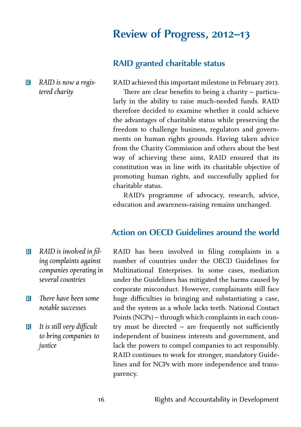# **Review of Progress, 2012-13**

### **RAID granted charitable status**

R *RAID is now a registered charity*

RAID achieved this important milestone in February 2013.

There are clear benefits to being a charity  $-$  particularly in the ability to raise much-needed funds. RAID therefore decided to examine whether it could achieve the advantages of charitable status while preserving the freedom to challenge business, regulators and governments on human rights grounds. Having taken advice from the Charity Commission and others about the best way of achieving these aims, RAID ensured that its constitution was in line with its charitable objective of promoting human rights, and successfully applied for charitable status.

RAID's programme of advocacy, research, advice, education and awareness-raising remains unchanged.

#### **Action on OECD Guidelines around the world**

- R *RAID is involved in filing complaints against companies operating in several countries*
- **R** There have been some *notable successes*
- **R** It is still very difficult *to bring companies to justice*

RAID has been involved in filing complaints in a number of countries under the OECD Guidelines for Multinational Enterprises. In some cases, mediation under the Guidelines has mitigated the harms caused by corporate misconduct. However, complainants still face huge difficulties in bringing and substantiating a case, and the system as a whole lacks teeth. National Contact Points (NCPs) – through which complaints in each country must be directed – are frequently not sufficiently independent of business interests and government, and lack the powers to compel companies to act responsibly. RAID continues to work for stronger, mandatory Guidelines and for NCPs with more independence and transparency.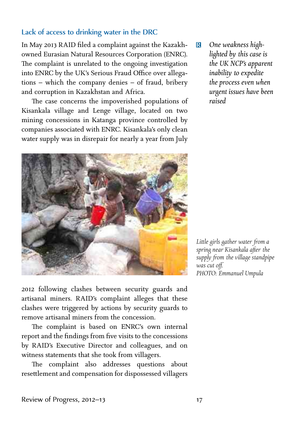#### Lack of access to drinking water in the DRC

In May RAID filed a complaint against the Kazakhowned Eurasian Natural Resources Corporation (ENRC). The complaint is unrelated to the ongoing investigation into ENRC by the UK's Serious Fraud Office over allegations – which the company denies – of fraud, bribery and corruption in Kazakhstan and Africa.

The case concerns the impoverished populations of Kisankala village and Lenge village, located on two mining concessions in Katanga province controlled by companies associated with ENRC. Kisankala's only clean water supply was in disrepair for nearly a year from July



 following clashes between security guards and artisanal miners. RAID's complaint alleges that these clashes were triggered by actions by security guards to remove artisanal miners from the concession.

The complaint is based on ENRC's own internal report and the findings from five visits to the concessions by RAID's Executive Director and colleagues, and on witness statements that she took from villagers.

The complaint also addresses questions about resettlement and compensation for dispossessed villagers R *One weakness highlighted by this case is the UK NCP's apparent inability to expedite the process even when urgent issues have been raised*

*Lile girls gather water from a spring near Kisankala after the supply from the village standpipe was cut off. PHOTO: Emmanuel Umpula*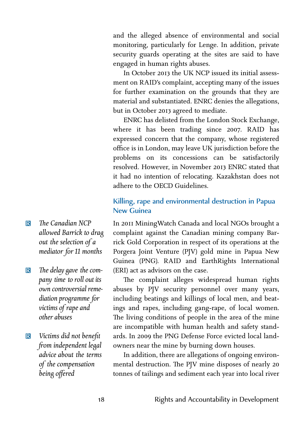and the alleged absence of environmental and social monitoring, particularly for Lenge. In addition, private security guards operating at the sites are said to have engaged in human rights abuses.

In October 2013 the UK NCP issued its initial assessment on RAID's complaint, accepting many of the issues for further examination on the grounds that they are material and substantiated. ENRC denies the allegations, but in October 2013 agreed to mediate.

ENRC has delisted from the London Stock Exchange, where it has been trading since 2007. RAID has expressed concern that the company, whose registered office is in London, may leave UK jurisdiction before the problems on its concessions can be satisfactorily resolved. However, in November 2013 ENRC stated that it had no intention of relocating. Kazakhstan does not adhere to the OECD Guidelines.

#### Killing, rape and environmental destruction in Papua New Guinea

In 2011 MiningWatch Canada and local NGOs brought a complaint against the Canadian mining company Barrick Gold Corporation in respect of its operations at the Porgera Joint Venture (PJV) gold mine in Papua New Guinea (PNG). RAID and EarthRights International (ERI) act as advisors on the case.

The complaint alleges widespread human rights abuses by PJV security personnel over many years, including beatings and killings of local men, and beatings and rapes, including gang-rape, of local women. The living conditions of people in the area of the mine are incompatible with human health and safety standards. In 2009 the PNG Defense Force evicted local landowners near the mine by burning down houses.

In addition, there are allegations of ongoing environmental destruction. The PJV mine disposes of nearly 20 tonnes of tailings and sediment each year into local river

- **R** *The Canadian NCP allowed Barrick to drag out the selection of a mediator for months*
- **R** The delay gave the com*pany time to roll out its own controversial remediation programme for victims of rape and other abuses*
- R *Victims did not benefit from independent legal advice about the terms of the compensation being offered*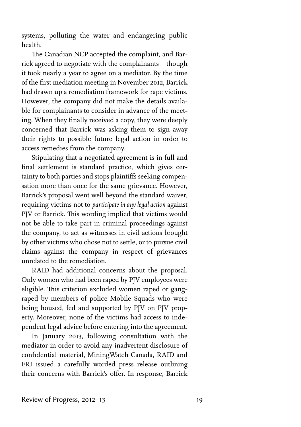systems, polluting the water and endangering public health.

The Canadian NCP accepted the complaint, and Barrick agreed to negotiate with the complainants – though it took nearly a year to agree on a mediator. By the time of the first mediation meeting in November 2012, Barrick had drawn up a remediation framework for rape victims. However, the company did not make the details available for complainants to consider in advance of the meeting. When they finally received a copy, they were deeply concerned that Barrick was asking them to sign away their rights to possible future legal action in order to access remedies from the company.

Stipulating that a negotiated agreement is in full and final settlement is standard practice, which gives certainty to both parties and stops plaintiffs seeking compensation more than once for the same grievance. However, Barrick's proposal went well beyond the standard waiver, requiring victims not to *participate in any legal action* against PJV or Barrick. This wording implied that victims would not be able to take part in criminal proceedings against the company, to act as witnesses in civil actions brought by other victims who chose not to settle, or to pursue civil claims against the company in respect of grievances unrelated to the remediation.

RAID had additional concerns about the proposal. Only women who had been raped by PJV employees were eligible. This criterion excluded women raped or gangraped by members of police Mobile Squads who were being housed, fed and supported by PJV on PJV property. Moreover, none of the victims had access to independent legal advice before entering into the agreement.

In January 2013, following consultation with the mediator in order to avoid any inadvertent disclosure of confidential material, MiningWatch Canada, RAID and ERI issued a carefully worded press release outlining their concerns with Barrick's offer. In response, Barrick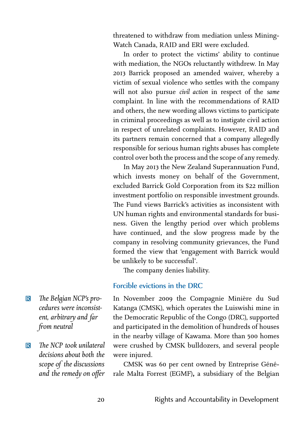threatened to withdraw from mediation unless Mining-Watch Canada, RAID and ERI were excluded.

In order to protect the victims' ability to continue with mediation, the NGOs reluctantly withdrew. In May Barrick proposed an amended waiver, whereby a victim of sexual violence who settles with the company will not also pursue *civil action* in respect of the *same* complaint. In line with the recommendations of RAID and others, the new wording allows victims to participate in criminal proceedings as well as to instigate civil action in respect of unrelated complaints. However, RAID and its partners remain concerned that a company allegedly responsible for serious human rights abuses has complete control over both the process and the scope of any remedy.

In May 2013 the New Zealand Superannuation Fund, which invests money on behalf of the Government, excluded Barrick Gold Corporation from its \$22 million investment portfolio on responsible investment grounds. The Fund views Barrick's activities as inconsistent with UN human rights and environmental standards for business. Given the lengthy period over which problems have continued, and the slow progress made by the company in resolving community grievances, the Fund formed the view that 'engagement with Barrick would be unlikely to be successful'.

The company denies liability.

#### Forcible evictions in the DRC

In November 2009 the Compagnie Minière du Sud Katanga (CMSK), which operates the Luiswishi mine in the Democratic Republic of the Congo (DRC), supported and participated in the demolition of hundreds of houses in the nearby village of Kawama. More than 500 homes were crushed by CMSK bulldozers, and several people were injured.

CMSK was 60 per cent owned by Entreprise Générale Malta Forrest (EGMF)**,** a subsidiary of the Belgian

- **R** The Belgian NCP's pro*cedures were inconsist*ent, arbitrary and far *from neutral*
- R *e NCP took unilateral decisions about both the scope of the discussions and the remedy on offer*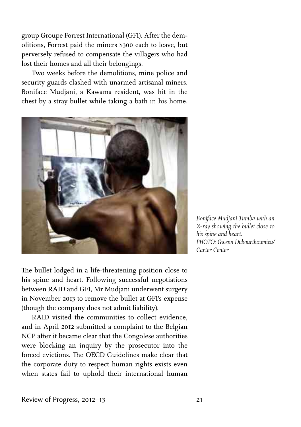group Groupe Forrest International (GFI). After the demolitions, Forrest paid the miners \$300 each to leave, but perversely refused to compensate the villagers who had lost their homes and all their belongings.

Two weeks before the demolitions, mine police and security guards clashed with unarmed artisanal miners. Boniface Mudjani, a Kawama resident, was hit in the chest by a stray bullet while taking a bath in his home.



The bullet lodged in a life-threatening position close to his spine and heart. Following successful negotiations between RAID and GFI, Mr Mudjani underwent surgery in November 2013 to remove the bullet at GFI's expense (though the company does not admit liability).

RAID visited the communities to collect evidence, and in April 2012 submitted a complaint to the Belgian NCP after it became clear that the Congolese authorities were blocking an inquiry by the prosecutor into the forced evictions. The OECD Guidelines make clear that the corporate duty to respect human rights exists even when states fail to uphold their international human

*Boniface Mudjani Tumba with an X-ray showing the bullet close to his spine and heart. PHOTO: Gwenn Dubourthoumieu/ Carter Center*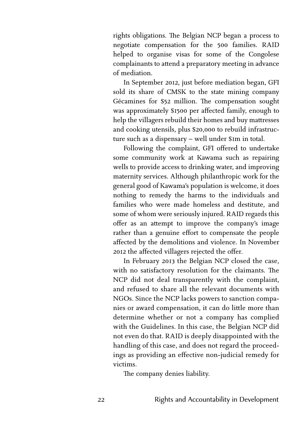rights obligations. The Belgian NCP began a process to negotiate compensation for the 500 families. RAID helped to organise visas for some of the Congolese complainants to attend a preparatory meeting in advance of mediation.

In September 2012, just before mediation began, GFI sold its share of CMSK to the state mining company Gécamines for \$52 million. The compensation sought was approximately \$1500 per affected family, enough to help the villagers rebuild their homes and buy mattresses and cooking utensils, plus \$20,000 to rebuild infrastructure such as a dispensary  $-$  well under \$ $\mathfrak{m}$  in total.

Following the complaint, GFI offered to undertake some community work at Kawama such as repairing wells to provide access to drinking water, and improving maternity services. Although philanthropic work for the general good of Kawama's population is welcome, it does nothing to remedy the harms to the individuals and families who were made homeless and destitute, and some of whom were seriously injured. RAID regards this offer as an attempt to improve the company's image rather than a genuine effort to compensate the people affected by the demolitions and violence. In November 2012 the affected villagers rejected the offer.

In February 2013 the Belgian NCP closed the case, with no satisfactory resolution for the claimants. The NCP did not deal transparently with the complaint, and refused to share all the relevant documents with NGOs. Since the NCP lacks powers to sanction companies or award compensation, it can do little more than determine whether or not a company has complied with the Guidelines. In this case, the Belgian NCP did not even do that. RAID is deeply disappointed with the handling of this case, and does not regard the proceedings as providing an effective non-judicial remedy for victims.

The company denies liability.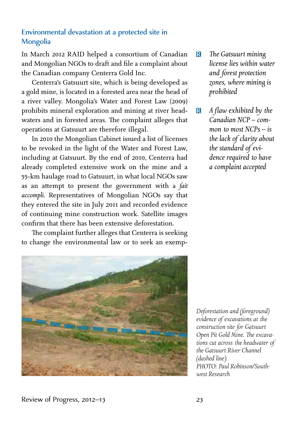#### Environmental devastation at a protected site in **Mongolia**

In March 2012 RAID helped a consortium of Canadian and Mongolian NGOs to draft and file a complaint about the Canadian company Centerra Gold Inc.

Centerra's Gatsuurt site, which is being developed as a gold mine, is located in a forested area near the head of a river valley. Mongolia's Water and Forest Law (2009) prohibits mineral exploration and mining at river headwaters and in forested areas. The complaint alleges that operations at Gatsuurt are therefore illegal.

In 2010 the Mongolian Cabinet issued a list of licenses to be revoked in the light of the Water and Forest Law, including at Gatsuurt. By the end of 2010, Centerra had already completed extensive work on the mine and a 55-km haulage road to Gatsuurt, in what local NGOs saw as an attempt to present the government with a *fait accompli.* Representatives of Mongolian NGOs say that they entered the site in July 2011 and recorded evidence of continuing mine construction work. Satellite images confirm that there has been extensive deforestation.

The complaint further alleges that Centerra is seeking to change the environmental law or to seek an exemp-



- **R** The Gatsuurt mining *license lies within water and forest protection zones, where mining is prohibited*
- R *A flaw exhibited by the Canadian NCP – common to most NCPs – is the lack of clarity about the standard of evidence required to have a complaint accepted*

*Deforestation and (foreground) evidence of excavations at the construction site for Gatsuurt* Open Pit Gold Mine. The excava*tions cut across the headwater of the Gatsuurt River Channel (dashed line). PHOTO: Paul Robinson/Southwest Research*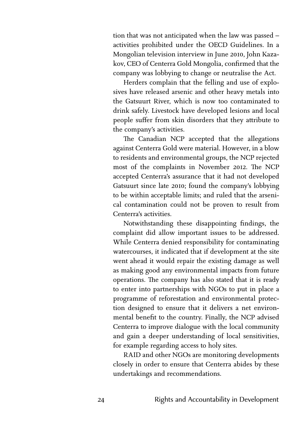tion that was not anticipated when the law was passed – activities prohibited under the OECD Guidelines. In a Mongolian television interview in June 2010, John Kazakov, CEO of Centerra Gold Mongolia, confirmed that the company was lobbying to change or neutralise the Act.

Herders complain that the felling and use of explosives have released arsenic and other heavy metals into the Gatsuurt River, which is now too contaminated to drink safely. Livestock have developed lesions and local people suffer from skin disorders that they attribute to the company's activities.

The Canadian NCP accepted that the allegations against Centerra Gold were material. However, in a blow to residents and environmental groups, the NCP rejected most of the complaints in November 2012. The NCP accepted Centerra's assurance that it had not developed Gatsuurt since late 2010; found the company's lobbying to be within acceptable limits; and ruled that the arsenical contamination could not be proven to result from Centerra's activities.

Notwithstanding these disappointing findings, the complaint did allow important issues to be addressed. While Centerra denied responsibility for contaminating watercourses, it indicated that if development at the site went ahead it would repair the existing damage as well as making good any environmental impacts from future operations. The company has also stated that it is ready to enter into partnerships with NGOs to put in place a programme of reforestation and environmental protection designed to ensure that it delivers a net environmental benefit to the country. Finally, the NCP advised Centerra to improve dialogue with the local community and gain a deeper understanding of local sensitivities, for example regarding access to holy sites.

RAID and other NGOs are monitoring developments closely in order to ensure that Centerra abides by these undertakings and recommendations.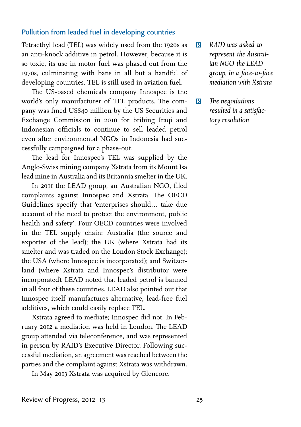#### Pollution from leaded fuel in developing countries

Tetraethyl lead (TEL) was widely used from the 1920s as an anti-knock additive in petrol. However, because it is so toxic, its use in motor fuel was phased out from the 1970s, culminating with bans in all but a handful of developing countries. TEL is still used in aviation fuel.

The US-based chemicals company Innospec is the world's only manufacturer of TEL products. The company was fined US\$40 million by the US Securities and Exchange Commission in 2010 for bribing Iraqi and Indonesian officials to continue to sell leaded petrol even after environmental NGOs in Indonesia had successfully campaigned for a phase-out.

The lead for Innospec's TEL was supplied by the Anglo-Swiss mining company Xstrata from its Mount Isa lead mine in Australia and its Britannia smelter in the UK.

In 2011 the LEAD group, an Australian NGO, filed complaints against Innospec and Xstrata. The OECD Guidelines specify that 'enterprises should… take due account of the need to protect the environment, public health and safety'. Four OECD countries were involved in the TEL supply chain: Australia (the source and exporter of the lead); the UK (where Xstrata had its smelter and was traded on the London Stock Exchange); the USA (where Innospec is incorporated); and Switzerland (where Xstrata and Innospec's distributor were incorporated). LEAD noted that leaded petrol is banned in all four of these countries. LEAD also pointed out that Innospec itself manufactures alternative, lead-free fuel additives, which could easily replace TEL.

Xstrata agreed to mediate; Innospec did not. In February 2012 a mediation was held in London. The LEAD group attended via teleconference, and was represented in person by RAID's Executive Director. Following successful mediation, an agreement was reached between the parties and the complaint against Xstrata was withdrawn.

In May 2013 Xstrata was acquired by Glencore.

- R *RAID was asked to represent the Australian NGO the LEAD group, in a face-to-face mediation with Xstrata*
- **R** *The negotiations resulted in a satisfacto resolution*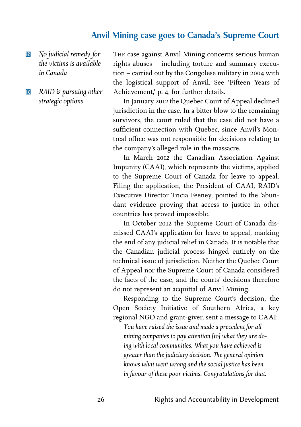# **Anvil Mining case goes to Canada's Supreme Court**

#### R *No judicial remedy for the victims is available in Canada*

R *RAID is pursuing other strategic options*

THE case against Anvil Mining concerns serious human rights abuses – including torture and summary execu $tion - carried out by the Congolese military in 2004 with$ the logistical support of Anvil. See 'Fifteen Years of Achievement,' p. 4, for further details.

In January 2012 the Quebec Court of Appeal declined jurisdiction in the case. In a bitter blow to the remaining survivors, the court ruled that the case did not have a sufficient connection with Quebec, since Anvil's Montreal office was not responsible for decisions relating to the company's alleged role in the massacre.

In March 2012 the Canadian Association Against Impunity (CAAI), which represents the victims, applied to the Supreme Court of Canada for leave to appeal. Filing the application, the President of CAAI, RAID's Executive Director Tricia Feeney, pointed to the 'abundant evidence proving that access to justice in other countries has proved impossible.'

In October 2012 the Supreme Court of Canada dismissed CAAI's application for leave to appeal, marking the end of any judicial relief in Canada. It is notable that the Canadian judicial process hinged entirely on the technical issue of jurisdiction. Neither the Quebec Court of Appeal nor the Supreme Court of Canada considered the facts of the case, and the courts' decisions therefore do not represent an acquittal of Anvil Mining.

Responding to the Supreme Court's decision, the Open Society Initiative of Southern Africa, a key regional NGO and grant-giver, sent a message to CAAI:

*You have raised the issue and made a precedent for a* mining companies to pay attention [to] what they are do*ing with local communities. What you have achieved is greater than the judiciary decision. The general opinion knows what went wrong and the social justice has been in favour of these poor victims. Congratulations for that.*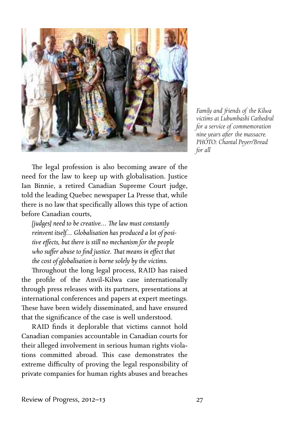

*Family and friends of the Kilwa victims at Lubumbashi Cathedral for a service of commemoration nine years after the massacre. PHOTO: Chantal Peyer/Bread for a*

The legal profession is also becoming aware of the need for the law to keep up with globalisation. Justice Ian Binnie, a retired Canadian Supreme Court judge, told the leading Quebec newspaper La Presse that, while there is no law that specifically allows this type of action before Canadian courts,

*[judges] need to be creative... The law must constantly reinvent itself… Globalisation has produced a lot of posi*tive effects, but there is still no mechanism for the people who suffer abuse to find justice. That means in effect that *the cost of globalisation is borne solely by the victims.*

Throughout the long legal process, RAID has raised the profile of the Anvil-Kilwa case internationally through press releases with its partners, presentations at international conferences and papers at expert meetings. These have been widely disseminated, and have ensured that the significance of the case is well understood.

RAID finds it deplorable that victims cannot hold Canadian companies accountable in Canadian courts for their alleged involvement in serious human rights violations committed abroad. This case demonstrates the extreme difficulty of proving the legal responsibility of private companies for human rights abuses and breaches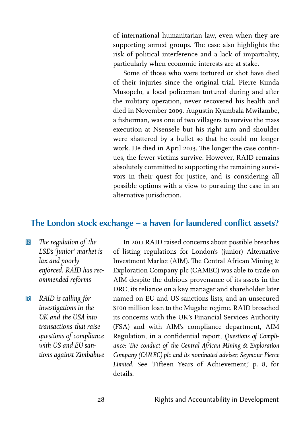of international humanitarian law, even when they are supporting armed groups. The case also highlights the risk of political interference and a lack of impartiality, particularly when economic interests are at stake.

Some of those who were tortured or shot have died of their injuries since the original trial. Pierre Kunda Musopelo, a local policeman tortured during and after the military operation, never recovered his health and died in November 2009. Augustin Kyambala Mwilambe, a fisherman, was one of two villagers to survive the mass execution at Nsensele but his right arm and shoulder were shattered by a bullet so that he could no longer work. He died in April 2013. The longer the case continues, the fewer victims survive. However, RAID remains absolutely committed to supporting the remaining survivors in their quest for justice, and is considering all possible options with a view to pursuing the case in an alternative jurisdiction.

#### **e London stock exchange – a haven for laundered conflict assets?**

- **R** The regulation of the *LSE's 'junior' market is lax and poorly enforced. RAID has recommended reforms*
- R *RAID is caing for investigations in the UK and the USA into transactions that raise questions of compliance with US and EU santions against Zimbabwe*

In 2011 RAID raised concerns about possible breaches of listing regulations for London's (junior) Alternative Investment Market (AIM). The Central African Mining  $\&$ Exploration Company plc (CAMEC) was able to trade on AIM despite the dubious provenance of its assets in the DRC, its reliance on a key manager and shareholder later named on EU and US sanctions lists, and an unsecured \$100 million loan to the Mugabe regime. RAID broached its concerns with the UK's Financial Services Authority (FSA) and with AIM's compliance department, AIM Regulation, in a confidential report, *Questions of Compli*ance: The conduct of the Central African Mining & Exploration *Company (CAMEC) plc and its nominated adviser, Seymour Pierce* Limited. See 'Fifteen Years of Achievement,' p. 8, for details.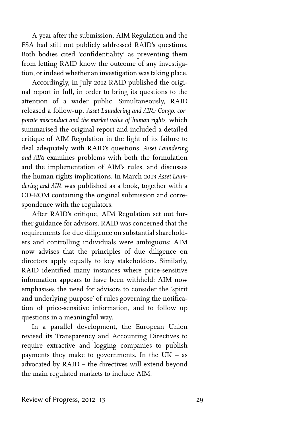A year after the submission, AIM Regulation and the FSA had still not publicly addressed RAID's questions. Both bodies cited 'confidentiality' as preventing them from letting RAID know the outcome of any investigation, or indeed whether an investigation was taking place.

Accordingly, in July 2012 RAID published the original report in full, in order to bring its questions to the attention of a wider public. Simultaneously, RAID released a follow-up, *Asset Laundering and AIM: Congo, corporate misconduct and the market value of human rights,* which summarised the original report and included a detailed critique of AIM Regulation in the light of its failure to deal adequately with RAID's questions. *Asset Laundering and AIM* examines problems with both the formulation and the implementation of AIM's rules, and discusses the human rights implications. In March 2013 Asset Laun*dering and AIM* was published as a book, together with a CD-ROM containing the original submission and correspondence with the regulators.

After RAID's critique, AIM Regulation set out further guidance for advisors. RAID was concerned that the requirements for due diligence on substantial shareholders and controlling individuals were ambiguous: AIM now advises that the principles of due diligence on directors apply equally to key stakeholders. Similarly, RAID identified many instances where price-sensitive information appears to have been withheld: AIM now emphasises the need for advisors to consider the 'spirit and underlying purpose' of rules governing the notification of price-sensitive information, and to follow up questions in a meaningful way.

In a parallel development, the European Union revised its Transparency and Accounting Directives to require extractive and logging companies to publish payments they make to governments. In the  $UK - as$ advocated by RAID – the directives will extend beyond the main regulated markets to include AIM.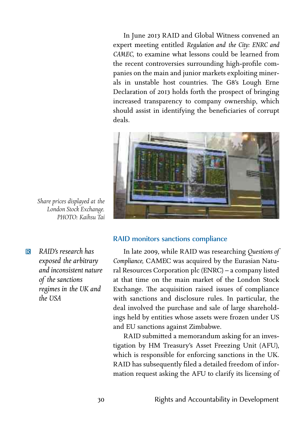In June 2013 RAID and Global Witness convened an expert meeting entitled *Regulation and the City: ENRC and CAMEC,* to examine what lessons could be learned from the recent controversies surrounding high-profile companies on the main and junior markets exploiting minerals in unstable host countries. The G8's Lough Erne Declaration of 2013 holds forth the prospect of bringing increased transparency to company ownership, which should assist in identifying the beneficiaries of corrupt deals.



*Share prices displayed at the London Stock Exchange. PHOTO: Kaihsu Tai*

R *RAID's research has exposed the arbitra and inconsistent nature of the sanctions regimes in the UK and the USA*

#### RAID monitors sanctions compliance

In late 2009, while RAID was researching Questions of *Compliance,* CAMEC was acquired by the Eurasian Natural Resources Corporation plc (ENRC) – a company listed at that time on the main market of the London Stock Exchange. The acquisition raised issues of compliance with sanctions and disclosure rules. In particular, the deal involved the purchase and sale of large shareholdings held by entities whose assets were frozen under US and EU sanctions against Zimbabwe.

RAID submitted a memorandum asking for an investigation by HM Treasury's Asset Freezing Unit (AFU), which is responsible for enforcing sanctions in the UK. RAID has subsequently filed a detailed freedom of information request asking the AFU to clarify its licensing of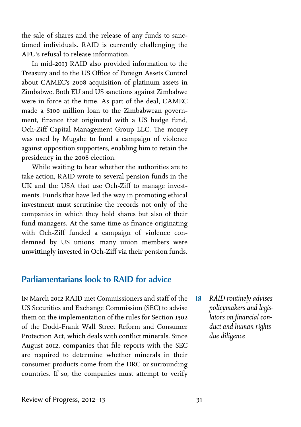the sale of shares and the release of any funds to sanctioned individuals. RAID is currently challenging the AFU's refusal to release information.

In mid-2013 RAID also provided information to the Treasury and to the US Office of Foreign Assets Control about CAMEC's 2008 acquisition of platinum assets in Zimbabwe. Both EU and US sanctions against Zimbabwe were in force at the time. As part of the deal, CAMEC made a \$100 million loan to the Zimbabwean government, finance that originated with a US hedge fund, Och-Ziff Capital Management Group LLC. The money was used by Mugabe to fund a campaign of violence against opposition supporters, enabling him to retain the presidency in the 2008 election.

While waiting to hear whether the authorities are to take action, RAID wrote to several pension funds in the UK and the USA that use Och-Ziff to manage investments. Funds that have led the way in promoting ethical investment must scrutinise the records not only of the companies in which they hold shares but also of their fund managers. At the same time as finance originating with Och-Ziff funded a campaign of violence condemned by US unions, many union members were unwiingly invested in Och-Ziff via their pension funds*.*

# **Parliamentarians look to RAID for advice**

- IN March 2012 RAID met Commissioners and staff of the US Securities and Exchange Commission (SEC) to advise them on the implementation of the rules for Section of the Dodd-Frank Wall Street Reform and Consumer Protection Act, which deals with conflict minerals. Since August 2012, companies that file reports with the SEC are required to determine whether minerals in their consumer products come from the DRC or surrounding countries. If so, the companies must attempt to verify
- R *RAID routinely advises policymakers and legislators on financial conduct and human rights due diligence*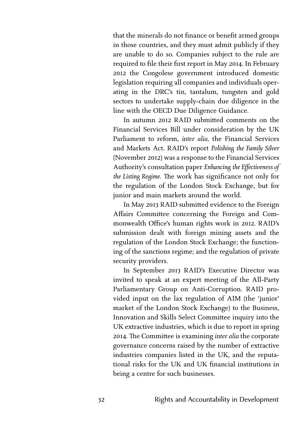that the minerals do not finance or benefit armed groups in those countries, and they must admit publicly if they are unable to do so. Companies subject to the rule are required to file their first report in May 2014. In February 2012 the Congolese government introduced domestic legislation requiring all companies and individuals operating in the DRC's tin, tantalum, tungsten and gold sectors to undertake supply-chain due diligence in the line with the OECD Due Diligence Guidance.

In autumn 2012 RAID submitted comments on the Financial Services Bill under consideration by the UK Parliament to reform, inter alia, the Financial Services and Markets Act. RAID's report *Polishing the Family Silver* (November 2012) was a response to the Financial Services Authority's consultation paper *Enhancing the Effectiveness of* the Listing Regime. The work has significance not only for the regulation of the London Stock Exchange, but for junior and main markets around the world.

In May 2013 RAID submitted evidence to the Foreign Affairs Committee concerning the Foreign and Commonwealth Office's human rights work in 2012. RAID's submission dealt with foreign mining assets and the regulation of the London Stock Exchange; the functioning of the sanctions regime; and the regulation of private security providers.

In September 2013 RAID's Executive Director was invited to speak at an expert meeting of the All-Party Parliamentary Group on Anti-Corruption. RAID provided input on the lax regulation of AIM (the 'junior' market of the London Stock Exchange) to the Business, Innovation and Skills Select Committee inquiry into the UK extractive industries, which is due to report in spring 2014. The Committee is examining inter alia the corporate governance concerns raised by the number of extractive industries companies listed in the UK, and the reputational risks for the UK and UK financial institutions in being a centre for such businesses.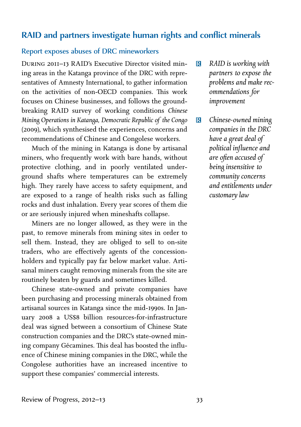### **RAID and partners investigate human rights and conflict minerals**

#### Report exposes abuses of DRC mineworkers

DURING 2011-13 RAID's Executive Director visited mining areas in the Katanga province of the DRC with representatives of Amnesty International, to gather information on the activities of non-OECD companies. This work focuses on Chinese businesses, and follows the groundbreaking RAID survey of working conditions *Chinese Mining Operations in Katanga, Democratic Republic of the Congo* (2009), which synthesised the experiences, concerns and recommendations of Chinese and Congolese workers.

Much of the mining in Katanga is done by artisanal miners, who frequently work with bare hands, without protective clothing, and in poorly ventilated underground shafts where temperatures can be extremely high. They rarely have access to safety equipment, and are exposed to a range of health risks such as falling rocks and dust inhalation. Every year scores of them die or are seriously injured when mineshafts collapse.

Miners are no longer allowed, as they were in the past, to remove minerals from mining sites in order to sell them. Instead, they are obliged to sell to on-site traders, who are effectively agents of the concessionholders and typically pay far below market value. Artisanal miners caught removing minerals from the site are routinely beaten by guards and sometimes killed.

Chinese state-owned and private companies have been purchasing and processing minerals obtained from artisanal sources in Katanga since the mid-1990s. In January 2008 a US\$8 billion resources-for-infrastructure deal was signed between a consortium of Chinese State construction companies and the DRC's state-owned mining company Gécamines. This deal has boosted the influence of Chinese mining companies in the DRC, while the Congolese authorities have an increased incentive to support these companies' commercial interests.

- R *RAID is working with partners to expose the problems and make recommendations for improvement*
- R *Chinese-owned mining companies in the DRC have a great deal of political influence and are often accused of being insensitive to community concerns and entitlements under customa law*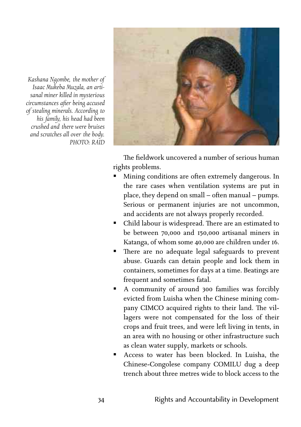

*Kashana Ngombe, the mother of Isaac Mukeba Muzala, an artisanal miner kied in mysterious circumstances after being accused of stealing minerals. According to his family, his head had been crushed and there were bruises* and scratches all over the body. *PHOTO: RAID*

> The fieldwork uncovered a number of serious human rights problems.

- ß Mining conditions are often extremely dangerous. In the rare cases when ventilation systems are put in place, they depend on small – often manual – pumps. Serious or permanent injuries are not uncommon, and accidents are not always properly recorded.
- Child labour is widespread. There are an estimated to be between  $70,000$  and  $150,000$  artisanal miners in Katanga, of whom some 40,000 are children under 16.
- **n** There are no adequate legal safeguards to prevent abuse. Guards can detain people and lock them in containers, sometimes for days at a time. Beatings are frequent and sometimes fatal.
- A community of around 300 families was forcibly evicted from Luisha when the Chinese mining company CIMCO acquired rights to their land. The villagers were not compensated for the loss of their crops and fruit trees, and were left living in tents, in an area with no housing or other infrastructure such as clean water supply, markets or schools.
- ß Access to water has been blocked. In Luisha, the Chinese-Congolese company COMILU dug a deep trench about three metres wide to block access to the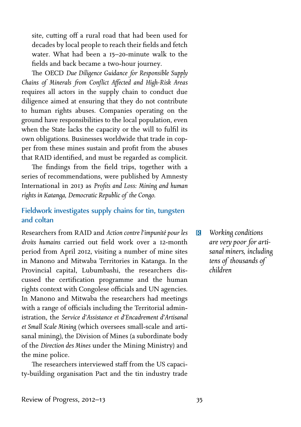site, cutting off a rural road that had been used for decades by local people to reach their fields and fetch water. What had been a  $15-20$ -minute walk to the fields and back became a two-hour journey.

The OECD Due Diligence Guidance for Responsible Supply *Chains of Minerals from Conflict Affected and High-Risk Areas* requires all actors in the supply chain to conduct due diligence aimed at ensuring that they do not contribute to human rights abuses. Companies operating on the ground have responsibilities to the local population, even when the State lacks the capacity or the will to fulfil its own obligations. Businesses worldwide that trade in copper from these mines sustain and profit from the abuses that RAID identified, and must be regarded as complicit.

The findings from the field trips, together with a series of recommendations, were published by Amnesty International in 2013 as *Profits and Loss: Mining and human rights in Katanga, Democratic Republic of the Congo.*

#### Fieldwork investigates supply chains for tin, tungsten and coltan

Researchers from RAID and *Action contre l'impunité pour les droits humains* carried out field work over a 12-month period from April 2012, visiting a number of mine sites in Manono and Mitwaba Territories in Katanga. In the Provincial capital, Lubumbashi, the researchers discussed the certification programme and the human rights context with Congolese officials and UN agencies. In Manono and Mitwaba the researchers had meetings with a range of officials including the Territorial administration, the *Service d'Assistance et d'Encadrement d'Artisanal* et Small Scale Mining (which oversees small-scale and artisanal mining), the Division of Mines (a subordinate body of the *Direction des Mines* under the Mining Ministry) and the mine police.

The researchers interviewed staff from the US capacity-building organisation Pact and the tin industry trade R *Working conditions* are very poor for arti*sanal miners, including tens of thousands of children*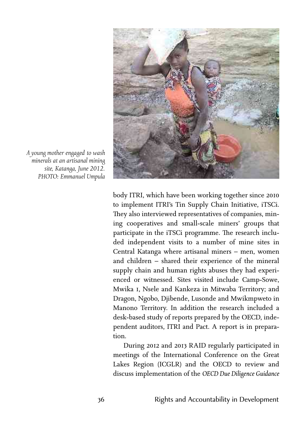

*A young mother engaged to wash minerals at an artisanal mining site, Katanga, June 2012. PHOTO: Emmanuel Umpula*

body ITRI, which have been working together since to implement ITRI's Tin Supply Chain Initiative, iTSCi. They also interviewed representatives of companies, mining cooperatives and small-scale miners' groups that participate in the iTSCi programme. The research included independent visits to a number of mine sites in Central Katanga where artisanal miners – men, women and children – shared their experience of the mineral supply chain and human rights abuses they had experienced or witnessed. Sites visited include Camp-Sowe, Mwika I, Nsele and Kankeza in Mitwaba Territory; and Dragon, Ngobo, Djibende, Lusonde and Mwikmpweto in Manono Territory. In addition the research included a desk-based study of reports prepared by the OECD, independent auditors, ITRI and Pact. A report is in preparation.

During 2012 and 2013 RAID regularly participated in meetings of the International Conference on the Great Lakes Region (ICGLR) and the OECD to review and discuss implementation of the *OECD Due Diligence Guidance*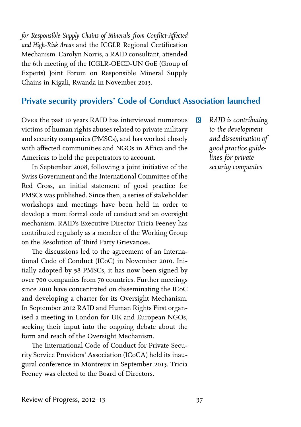*for Responsible Supply Chains of Minerals from Conflict-Affected and High-Risk Areas* and the ICGLR Regional Certification Mechanism. Carolyn Norris, a RAID consultant, attended the 6th meeting of the ICGLR-OECD-UN GoE (Group of Experts) Joint Forum on Responsible Mineral Supply Chains in Kigali, Rwanda in November 2013.

# **Private security providers' Code of Conduct Association launched**

OVER the past 10 years RAID has interviewed numerous victims of human rights abuses related to private military and security companies (PMSCs), and has worked closely with affected communities and NGOs in Africa and the Americas to hold the perpetrators to account.

In September 2008, following a joint initiative of the Swiss Government and the International Committee of the Red Cross, an initial statement of good practice for PMSCs was published. Since then, a series of stakeholder workshops and meetings have been held in order to develop a more formal code of conduct and an oversight mechanism. RAID's Executive Director Tricia Feeney has contributed regularly as a member of the Working Group on the Resolution of Third Party Grievances.

The discussions led to the agreement of an International Code of Conduct (ICoC) in November 2010. Initially adopted by 58 PMSCs, it has now been signed by over 700 companies from 70 countries. Further meetings since 2010 have concentrated on disseminating the ICoC and developing a charter for its Oversight Mechanism. In September 2012 RAID and Human Rights First organised a meeting in London for UK and European NGOs, seeking their input into the ongoing debate about the form and reach of the Oversight Mechanism.

The International Code of Conduct for Private Security Service Providers' Association (ICoCA) held its inaugural conference in Montreux in September 2013. Tricia Feeney was elected to the Board of Directors.

R *RAID is contributing to the development and dissemination of good practice guidelines for private security companies*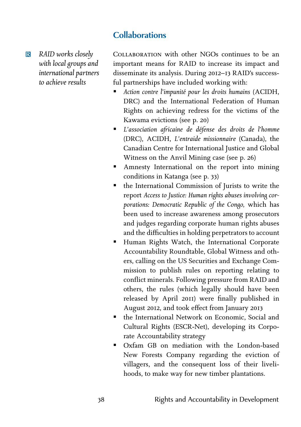# **Collaborations**

R *RAID works closely with local groups and international partners to achieve results*

COLLABORATION with other NGOs continues to be an important means for RAID to increase its impact and disseminate its analysis. During 2012-13 RAID's successful partnerships have included working with:

- ß *Action contre l'impunité pour les droits humains* (ACIDH, DRC) and the International Federation of Human Rights on achieving redress for the victims of the Kawama evictions (see p. 20)
- ß *L'association africaine de défense des droits de l'homme* (DRC), ACIDH, *L'entraide missionnaire* (Canada), the Canadian Centre for International Justice and Global Witness on the Anvil Mining case (see p. 26)
- **EXTERN** Amnesty International on the report into mining conditions in Katanga (see p. 33)
- the International Commission of Jurists to write the report *Access to Justice: Human rights abuses involving corporations: Democratic Republic of the Congo,* which has been used to increase awareness among prosecutors and judges regarding corporate human rights abuses and the difficulties in holding perpetrators to account
- **Human Rights Watch, the International Corporate** Accountability Roundtable, Global Witness and others, calling on the US Securities and Exchange Commission to publish rules on reporting relating to conflict minerals. Following pressure from RAID and others, the rules (which legally should have been released by April 2011) were finally published in August 2012, and took effect from January 2013
- the International Network on Economic, Social and Cultural Rights (ESCR-Net), developing its Corporate Accountability strategy
- ß Oxfam GB on mediation with the London-based New Forests Company regarding the eviction of villagers, and the consequent loss of their livelihoods, to make way for new timber plantations.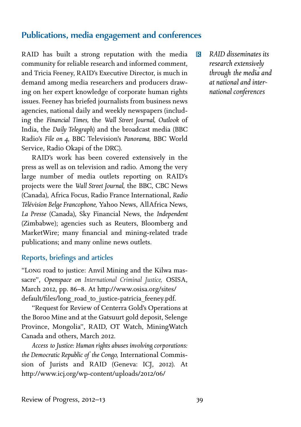# **Publications, media engagement and conferences**

RAID has built a strong reputation with the media community for reliable research and informed comment, and Tricia Feeney, RAID's Executive Director, is much in demand among media researchers and producers drawing on her expert knowledge of corporate human rights issues. Feeney has briefed journalists from business news agencies, national daily and weekly newspapers (including the *Financial Times,* the *Wa Street Journal, Outlook* of India, the *Daily Telegraph*) and the broadcast media (BBC Radio's *File on ,* BBC Television's *Panorama,* BBC World Service, Radio Okapi of the DRC).

RAID's work has been covered extensively in the press as well as on television and radio. Among the very large number of media outlets reporting on RAID's projects were the *Wall Street Journal*, the BBC, CBC News (Canada), Africa Focus, Radio France International, *Radio Télévision Belge Francophone,* Yahoo News, AllAfrica News, *La Presse* (Canada), Sky Financial News, the *Independent* (Zimbabwe); agencies such as Reuters, Bloomberg and MarketWire; many financial and mining-related trade publications; and many online news outlets.

#### Reports, briefings and articles

"LONG road to justice: Anvil Mining and the Kilwa massacre", *Openspace on International Criminal Justice,* OSISA, March 2012, pp. 86-8. At http://www.osisa.org/sites/ default/files/long\_road\_to\_justice-patricia\_feeney.pdf.

"Request for Review of Centerra Gold's Operations at the Boroo Mine and at the Gatsuurt gold deposit, Selenge Province, Mongolia", RAID, OT Watch, MiningWatch Canada and others, March 2012.

*Access to Justice: Human rights abuses involving corporations: the Democratic Republic of the Congo,* International Commission of Jurists and RAID (Geneva: ICJ, 2012). At http://www.icj.org/wp-content/uploads/2012/06/

R *RAID disseminates its research extensively through the media and at national and international conferences*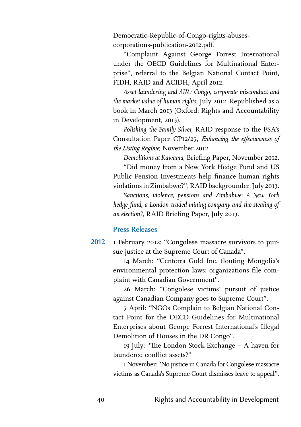Democratic-Republic-of-Congo-rights-abusescorporations-publication-2012.pdf.

"Complaint Against George Forrest International under the OECD Guidelines for Multinational Enterprise", referral to the Belgian National Contact Point, FIDH, RAID and ACIDH, April 2012.

*Asset laundering and AIM: Congo, corporate misconduct and the market value of human rights,* July 2012. Republished as a book in March 2013 (Oxford: Rights and Accountability in Development, 2013).

*Polishing the Family Silver* RAID response to the FSA's Consultation Paper CP12/25, Enhancing the effectiveness of the Listing Regime, November 2012.

**Demolitions at Kawama, Briefing Paper, November 2012.** 

"Did money from a New York Hedge Fund and US Public Pension Investments help finance human rights violations in Zimbabwe?", RAID backgrounder, July 2013.

*Sanctions, violence, pensions and Zimbabwe: A New York hedge fund, a London-traded mining company and the stealing of an election?*, RAID Briefing Paper, July 2013.

#### Press Releases

I February 2012: "Congolese massacre survivors to pursue justice at the Supreme Court of Canada". 2012

> March: "Centerra Gold Inc. flouting Mongolia's environmental protection laws: organizations file complaint with Canadian Government".

> March: "Congolese victims' pursuit of justice against Canadian Company goes to Supreme Court".

> April: "NGOs Complain to Belgian National Contact Point for the OECD Guidelines for Multinational Enterprises about George Forrest International's Illegal Demolition of Houses in the DR Congo".

> 19 July: "The London Stock Exchange - A haven for laundered conflict assets?"

> November: "No justice in Canada for Congolese massacre victims as Canada's Supreme Court dismisses leave to appeal".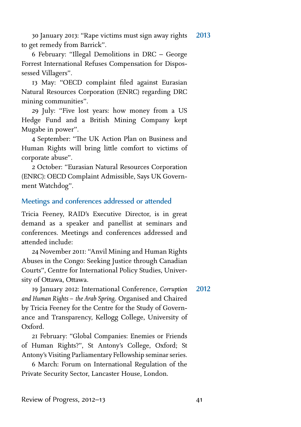30 January 2013: "Rape victims must sign away rights to get remedy from Barrick". 2013

 February: "Illegal Demolitions in DRC – George Forrest International Refuses Compensation for Dispossessed Villagers".

 May: "OECD complaint filed against Eurasian Natural Resources Corporation (ENRC) regarding DRC mining communities".

29 July: "Five lost years: how money from a US Hedge Fund and a British Mining Company kept Mugabe in power".

4 September: "The UK Action Plan on Business and Human Rights will bring little comfort to victims of corporate abuse".

 October: "Eurasian Natural Resources Corporation (ENRC): OECD Complaint Admissible, Says UK Government Watchdog".

#### Meetings and conferences addressed or attended

Tricia Feeney, RAID's Executive Director, is in great demand as a speaker and panellist at seminars and conferences. Meetings and conferences addressed and attended include:

24 November 2011: "Anvil Mining and Human Rights Abuses in the Congo: Seeking Justice through Canadian Courts", Centre for International Policy Studies, University of Ottawa, Ottawa.

19 January 2012: International Conference, *Corruption and Human Rights – the Arab Spring.* Organised and Chaired by Tricia Feeney for the Centre for the Study of Governance and Transparency, Kellogg College, University of Oxford. 2012

 February: "Global Companies: Enemies or Friends of Human Rights?", St Antony's College, Oxford; St Antony's Visiting Parliamentary Fellowship seminar series.

 March: Forum on International Regulation of the Private Security Sector, Lancaster House, London.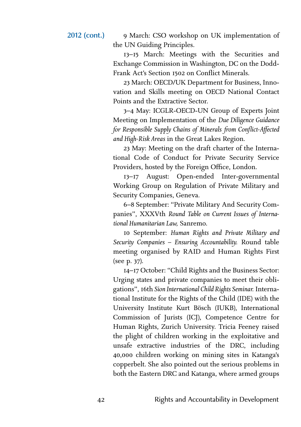March: CSO workshop on UK implementation of the UN Guiding Principles.

– March: Meetings with the Securities and Exchange Commission in Washington, DC on the Dodd-Frank Act's Section 1502 on Conflict Minerals.

 March: OECD/UK Department for Business, Innovation and Skills meeting on OECD National Contact Points and the Extractive Sector.

– May: ICGLR-OECD-UN Group of Experts Joint Meeting on Implementation of the *Due Diligence Guidance for Responsible Supply Chains of Minerals from Conflict-Affected and High-Risk Areas* in the Great Lakes Region.

 May: Meeting on the draft charter of the International Code of Conduct for Private Security Service Providers, hosted by the Foreign Office, London.

– August: Open-ended Inter-governmental Working Group on Regulation of Private Military and Security Companies, Geneva.

– September: "Private Military And Security Companies", XXXVth Round Table on Current Issues of Interna*tional Humanitarian Law,* Sanremo.

10 September: *Human Rights and Private Military and Security Companies – Ensuring Accountability.* Round table meeting organised by RAID and Human Rights First (see p. 37).

– October: "Child Rights and the Business Sector: Urging states and private companies to meet their obligations", th *Sion International Child Rights Seminar.* International Institute for the Rights of the Child (IDE) with the University Institute Kurt Bösch (IUKB), International Commission of Jurists (ICJ), Competence Centre for Human Rights, Zurich University. Tricia Feeney raised the plight of children working in the exploitative and unsafe extractive industries of the DRC, including 40,000 children working on mining sites in Katanga's copperbelt. She also pointed out the serious problems in both the Eastern DRC and Katanga, where armed groups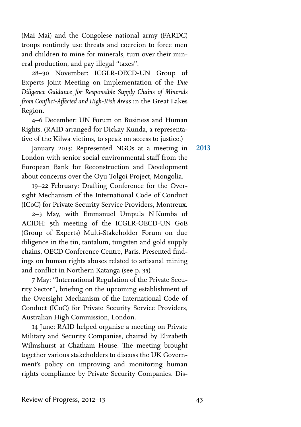(Mai Mai) and the Congolese national army (FARDC) troops routinely use threats and coercion to force men and children to mine for minerals, turn over their mineral production, and pay illegal "taxes".

– November: ICGLR-OECD-UN Group of Experts Joint Meeting on Implementation of the *Due Diligence Guidance for Responsible Supply Chains of Minerals from Conflict-Affected and High-Risk Areas* in the Great Lakes Region.

4-6 December: UN Forum on Business and Human Rights. (RAID arranged for Dickay Kunda, a representative of the Kilwa victims, to speak on access to justice.)

January 2013: Represented NGOs at a meeting in London with senior social environmental staff from the European Bank for Reconstruction and Development about concerns over the Oyu Tolgoi Project, Mongolia.

– February: Drafting Conference for the Oversight Mechanism of the International Code of Conduct (ICoC) for Private Security Service Providers, Montreux.

2-3 May, with Emmanuel Umpula N'Kumba of ACIDH: 5th meeting of the ICGLR-OECD-UN GoE (Group of Experts) Multi-Stakeholder Forum on due diligence in the tin, tantalum, tungsten and gold supply chains, OECD Conference Centre, Paris. Presented findings on human rights abuses related to artisanal mining and conflict in Northern Katanga (see p. 35).

 May: "International Regulation of the Private Security Sector", briefing on the upcoming establishment of the Oversight Mechanism of the International Code of Conduct (ICoC) for Private Security Service Providers, Australian High Commission, London.

14 June: RAID helped organise a meeting on Private Military and Security Companies, chaired by Elizabeth Wilmshurst at Chatham House. The meeting brought together various stakeholders to discuss the UK Government's policy on improving and monitoring human rights compliance by Private Security Companies. Dis2013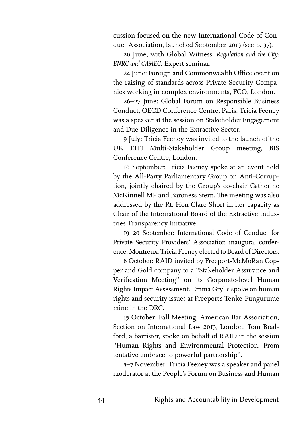cussion focused on the new International Code of Conduct Association, launched September 2013 (see p. 37).

20 June, with Global Witness: Regulation and the City: *ENRC and CAMEC.* Expert seminar.

24 June: Foreign and Commonwealth Office event on the raising of standards across Private Security Companies working in complex environments, FCO, London.

26-27 June: Global Forum on Responsible Business Conduct, OECD Conference Centre, Paris. Tricia Feeney was a speaker at the session on Stakeholder Engagement and Due Diligence in the Extractive Sector.

9 July: Tricia Feeney was invited to the launch of the UK EITI Multi-Stakeholder Group meeting, BIS Conference Centre, London.

10 September: Tricia Feeney spoke at an event held by the All-Party Parliamentary Group on Anti-Corruption, jointly chaired by the Group's co-chair Catherine McKinnell MP and Baroness Stern. The meeting was also addressed by the Rt. Hon Clare Short in her capacity as Chair of the International Board of the Extractive Industries Transparency Initiative.

19-20 September: International Code of Conduct for Private Security Providers' Association inaugural conference, Montreux. Tricia Feeney elected to Board of Directors.

 October: RAID invited by Freeport-McMoRan Copper and Gold company to a "Stakeholder Assurance and Verification Meeting" on its Corporate-level Human Rights Impact Assessment. Emma Grylls spoke on human rights and security issues at Freeport's Tenke-Fungurume mine in the DRC.

 October: Fall Meeting, American Bar Association, Section on International Law 2013, London. Tom Bradford, a barrister, spoke on behalf of RAID in the session "Human Rights and Environmental Protection: From tentative embrace to powerful partnership".

5-7 November: Tricia Feeney was a speaker and panel moderator at the People's Forum on Business and Human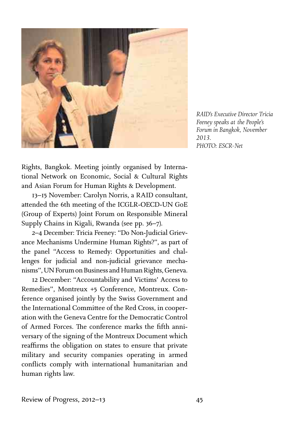

*RAID's Executive Director Tricia Feeney speaks at the People's Forum in Bangkok, November 2013. PHOTO: ESCR-Net*

Rights, Bangkok. Meeting jointly organised by International Network on Economic, Social & Cultural Rights and Asian Forum for Human Rights & Development.

13-15 November: Carolyn Norris, a RAID consultant, attended the 6th meeting of the ICGLR-OECD-UN GoE (Group of Experts) Joint Forum on Responsible Mineral Supply Chains in Kigali, Rwanda (see pp. 36-7).

– December: Tricia Feeney: "Do Non-Judicial Grievance Mechanisms Undermine Human Rights?", as part of the panel "Access to Remedy: Opportunities and challenges for judicial and non-judicial grievance mechanisms", UN Forum on Business and Human Rights, Geneva.

12 December: "Accountability and Victims' Access to Remedies", Montreux +5 Conference, Montreux. Conference organised jointly by the Swiss Government and the International Committee of the Red Cross, in cooperation with the Geneva Centre for the Democratic Control of Armed Forces. The conference marks the fifth anniversary of the signing of the Montreux Document which reaffirms the obligation on states to ensure that private military and security companies operating in armed conflicts comply with international humanitarian and human rights law.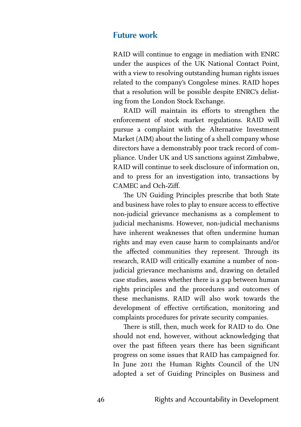#### **Future work**

RAID will continue to engage in mediation with ENRC under the auspices of the UK National Contact Point, with a view to resolving outstanding human rights issues related to the company's Congolese mines. RAID hopes that a resolution will be possible despite ENRC's delisting from the London Stock Exchange.

RAID will maintain its efforts to strengthen the enforcement of stock market regulations. RAID will pursue a complaint with the Alternative Investment Market (AIM) about the listing of a shell company whose directors have a demonstrably poor track record of compliance. Under UK and US sanctions against Zimbabwe, RAID will continue to seek disclosure of information on, and to press for an investigation into, transactions by CAMEC and Och-Ziff.

The UN Guiding Principles prescribe that both State and business have roles to play to ensure access to effective non-judicial grievance mechanisms as a complement to judicial mechanisms. However, non-judicial mechanisms have inherent weaknesses that often undermine human rights and may even cause harm to complainants and/or the affected communities they represent. Through its research, RAID will critically examine a number of nonjudicial grievance mechanisms and, drawing on detailed case studies, assess whether there is a gap between human rights principles and the procedures and outcomes of these mechanisms. RAID will also work towards the development of effective certification, monitoring and complaints procedures for private security companies.

There is still, then, much work for RAID to do. One should not end, however, without acknowledging that over the past fifteen years there has been significant progress on some issues that RAID has campaigned for. In June 2011 the Human Rights Council of the UN adopted a set of Guiding Principles on Business and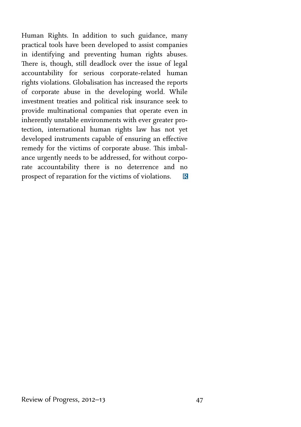Human Rights. In addition to such guidance, many practical tools have been developed to assist companies in identifying and preventing human rights abuses. There is, though, still deadlock over the issue of legal accountability for serious corporate-related human rights violations. Globalisation has increased the reports of corporate abuse in the developing world. While investment treaties and political risk insurance seek to provide multinational companies that operate even in inherently unstable environments with ever greater protection, international human rights law has not yet developed instruments capable of ensuring an effective remedy for the victims of corporate abuse. This imbalance urgently needs to be addressed, for without corporate accountability there is no deterrence and no prospect of reparation for the victims of violations.  $\mathbb{R}$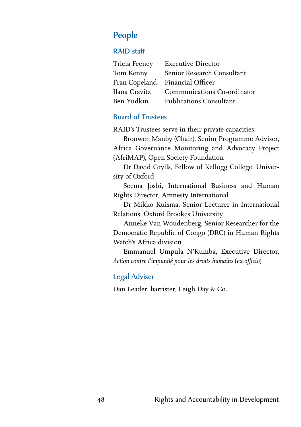# **People**

#### RAID staff

| <b>Executive Director</b>       |
|---------------------------------|
| Senior Research Consultant      |
| Fran Copeland Financial Officer |
| Communications Co-ordinator     |
| <b>Publications Consultant</b>  |
|                                 |

#### Board of Trustees

RAID's Trustees serve in their private capacities.

Bronwen Manby (Chair), Senior Programme Adviser, Africa Governance Monitoring and Advocacy Project (AfriMAP), Open Society Foundation

Dr David Grylls, Fellow of Kellogg College, University of Oxford

Seema Joshi, International Business and Human Rights Director, Amnesty International

Dr Mikko Kuisma, Senior Lecturer in International Relations, Oxford Brookes University

Anneke Van Woudenberg, Senior Researcher for the Democratic Republic of Congo (DRC) in Human Rights Watch's Africa division

Emmanuel Umpula N'Kumba, Executive Director, *Action contre l'impunité pour les droits humains* (*ex officio*)

#### Legal Adviser

Dan Leader, barrister, Leigh Day & Co.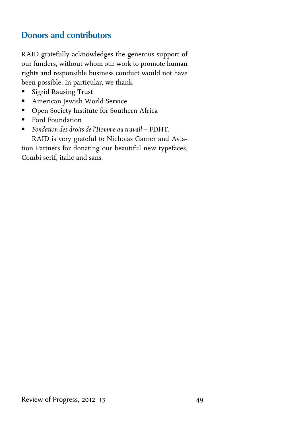# **Donors and contributors**

RAID gratefully acknowledges the generous support of our funders, without whom our work to promote human rights and responsible business conduct would not have been possible. In particular, we thank

- **BED Sigrid Rausing Trust**
- **American Jewish World Service**
- **•** Open Society Institute for Southern Africa
- **Ford Foundation**
- ß *Fondation des droits de l'Homme au travail* FDHT. RAID is very grateful to Nicholas Garner and Avia-

tion Partners for donating our beautiful new typefaces, Combi serif, italic and sans.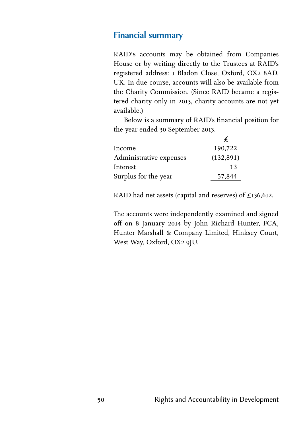#### **Financial summary**

RAID's accounts may be obtained from Companies House or by writing directly to the Trustees at RAID's registered address: I Bladon Close, Oxford, OX2 8AD, UK. In due course, accounts will also be available from the Charity Commission. (Since RAID became a registered charity only in 2013, charity accounts are not yet available.)

Below is a summary of RAID's financial position for the year ended 30 September 2013.

|                         | £          |
|-------------------------|------------|
| Income                  | 190,722    |
| Administrative expenses | (132, 891) |
| Interest                | 13         |
| Surplus for the year    | 57,844     |

RAID had net assets (capital and reserves) of £136,612.

The accounts were independently examined and signed off on 8 January 2014 by John Richard Hunter, FCA, Hunter Marshall & Company Limited, Hinksey Court, West Way, Oxford, OX2 9JU.